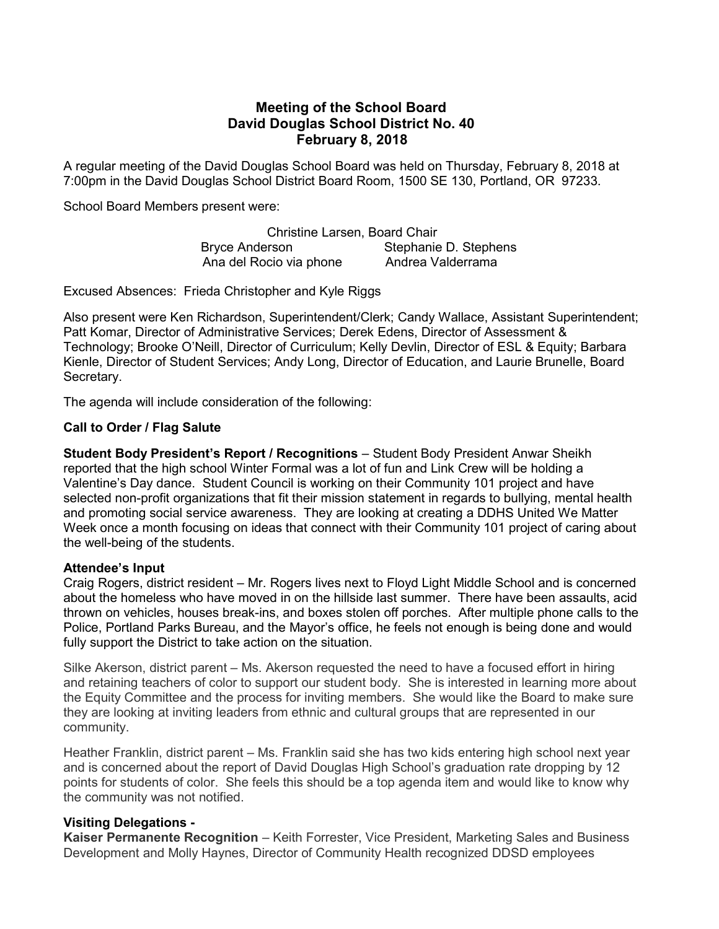# Meeting of the School Board David Douglas School District No. 40 February 8, 2018

A regular meeting of the David Douglas School Board was held on Thursday, February 8, 2018 at 7:00pm in the David Douglas School District Board Room, 1500 SE 130, Portland, OR 97233.

School Board Members present were:

Christine Larsen, Board Chair Bryce Anderson Stephanie D. Stephens Ana del Rocio via phone Andrea Valderrama

Excused Absences: Frieda Christopher and Kyle Riggs

Also present were Ken Richardson, Superintendent/Clerk; Candy Wallace, Assistant Superintendent; Patt Komar, Director of Administrative Services; Derek Edens, Director of Assessment & Technology; Brooke O'Neill, Director of Curriculum; Kelly Devlin, Director of ESL & Equity; Barbara Kienle, Director of Student Services; Andy Long, Director of Education, and Laurie Brunelle, Board Secretary.

The agenda will include consideration of the following:

#### Call to Order / Flag Salute

Student Body President's Report / Recognitions – Student Body President Anwar Sheikh reported that the high school Winter Formal was a lot of fun and Link Crew will be holding a Valentine's Day dance. Student Council is working on their Community 101 project and have selected non-profit organizations that fit their mission statement in regards to bullying, mental health and promoting social service awareness. They are looking at creating a DDHS United We Matter Week once a month focusing on ideas that connect with their Community 101 project of caring about the well-being of the students.

#### Attendee's Input

Craig Rogers, district resident – Mr. Rogers lives next to Floyd Light Middle School and is concerned about the homeless who have moved in on the hillside last summer. There have been assaults, acid thrown on vehicles, houses break-ins, and boxes stolen off porches. After multiple phone calls to the Police, Portland Parks Bureau, and the Mayor's office, he feels not enough is being done and would fully support the District to take action on the situation.

Silke Akerson, district parent – Ms. Akerson requested the need to have a focused effort in hiring and retaining teachers of color to support our student body. She is interested in learning more about the Equity Committee and the process for inviting members. She would like the Board to make sure they are looking at inviting leaders from ethnic and cultural groups that are represented in our community.

Heather Franklin, district parent – Ms. Franklin said she has two kids entering high school next year and is concerned about the report of David Douglas High School's graduation rate dropping by 12 points for students of color. She feels this should be a top agenda item and would like to know why the community was not notified.

## Visiting Delegations -

Kaiser Permanente Recognition – Keith Forrester, Vice President, Marketing Sales and Business Development and Molly Haynes, Director of Community Health recognized DDSD employees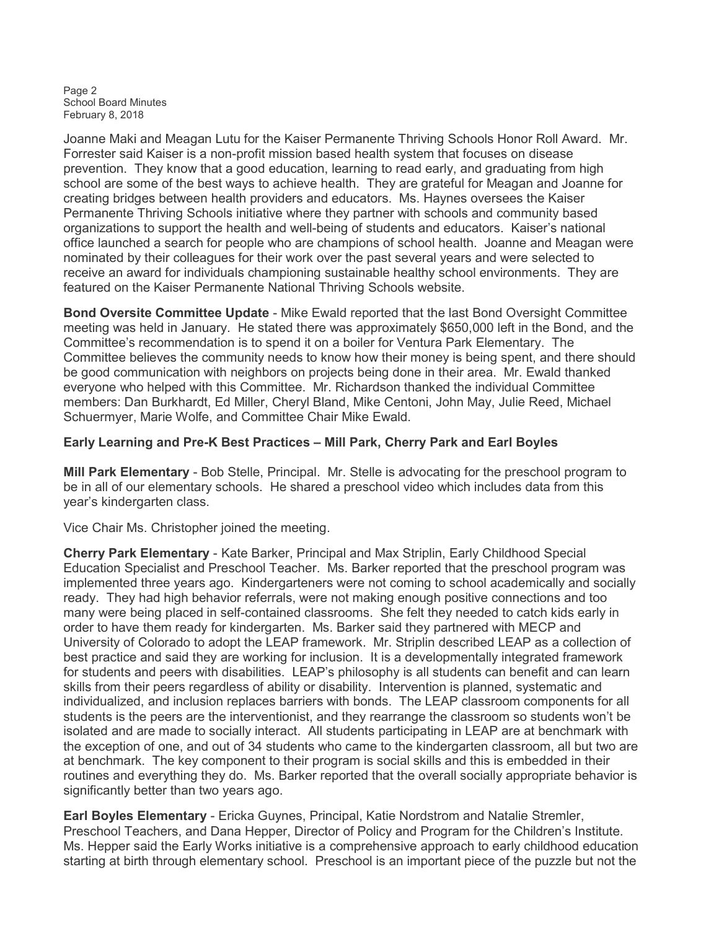Page 2 School Board Minutes February 8, 2018

Joanne Maki and Meagan Lutu for the Kaiser Permanente Thriving Schools Honor Roll Award. Mr. Forrester said Kaiser is a non-profit mission based health system that focuses on disease prevention. They know that a good education, learning to read early, and graduating from high school are some of the best ways to achieve health. They are grateful for Meagan and Joanne for creating bridges between health providers and educators. Ms. Haynes oversees the Kaiser Permanente Thriving Schools initiative where they partner with schools and community based organizations to support the health and well-being of students and educators. Kaiser's national office launched a search for people who are champions of school health. Joanne and Meagan were nominated by their colleagues for their work over the past several years and were selected to receive an award for individuals championing sustainable healthy school environments. They are featured on the Kaiser Permanente National Thriving Schools website.

Bond Oversite Committee Update - Mike Ewald reported that the last Bond Oversight Committee meeting was held in January. He stated there was approximately \$650,000 left in the Bond, and the Committee's recommendation is to spend it on a boiler for Ventura Park Elementary. The Committee believes the community needs to know how their money is being spent, and there should be good communication with neighbors on projects being done in their area. Mr. Ewald thanked everyone who helped with this Committee. Mr. Richardson thanked the individual Committee members: Dan Burkhardt, Ed Miller, Cheryl Bland, Mike Centoni, John May, Julie Reed, Michael Schuermyer, Marie Wolfe, and Committee Chair Mike Ewald.

## Early Learning and Pre-K Best Practices – Mill Park, Cherry Park and Earl Boyles

Mill Park Elementary - Bob Stelle, Principal. Mr. Stelle is advocating for the preschool program to be in all of our elementary schools. He shared a preschool video which includes data from this year's kindergarten class.

Vice Chair Ms. Christopher joined the meeting.

Cherry Park Elementary - Kate Barker, Principal and Max Striplin, Early Childhood Special Education Specialist and Preschool Teacher. Ms. Barker reported that the preschool program was implemented three years ago. Kindergarteners were not coming to school academically and socially ready. They had high behavior referrals, were not making enough positive connections and too many were being placed in self-contained classrooms. She felt they needed to catch kids early in order to have them ready for kindergarten. Ms. Barker said they partnered with MECP and University of Colorado to adopt the LEAP framework. Mr. Striplin described LEAP as a collection of best practice and said they are working for inclusion. It is a developmentally integrated framework for students and peers with disabilities. LEAP's philosophy is all students can benefit and can learn skills from their peers regardless of ability or disability. Intervention is planned, systematic and individualized, and inclusion replaces barriers with bonds. The LEAP classroom components for all students is the peers are the interventionist, and they rearrange the classroom so students won't be isolated and are made to socially interact. All students participating in LEAP are at benchmark with the exception of one, and out of 34 students who came to the kindergarten classroom, all but two are at benchmark. The key component to their program is social skills and this is embedded in their routines and everything they do. Ms. Barker reported that the overall socially appropriate behavior is significantly better than two years ago.

Earl Boyles Elementary - Ericka Guynes, Principal, Katie Nordstrom and Natalie Stremler, Preschool Teachers, and Dana Hepper, Director of Policy and Program for the Children's Institute. Ms. Hepper said the Early Works initiative is a comprehensive approach to early childhood education starting at birth through elementary school. Preschool is an important piece of the puzzle but not the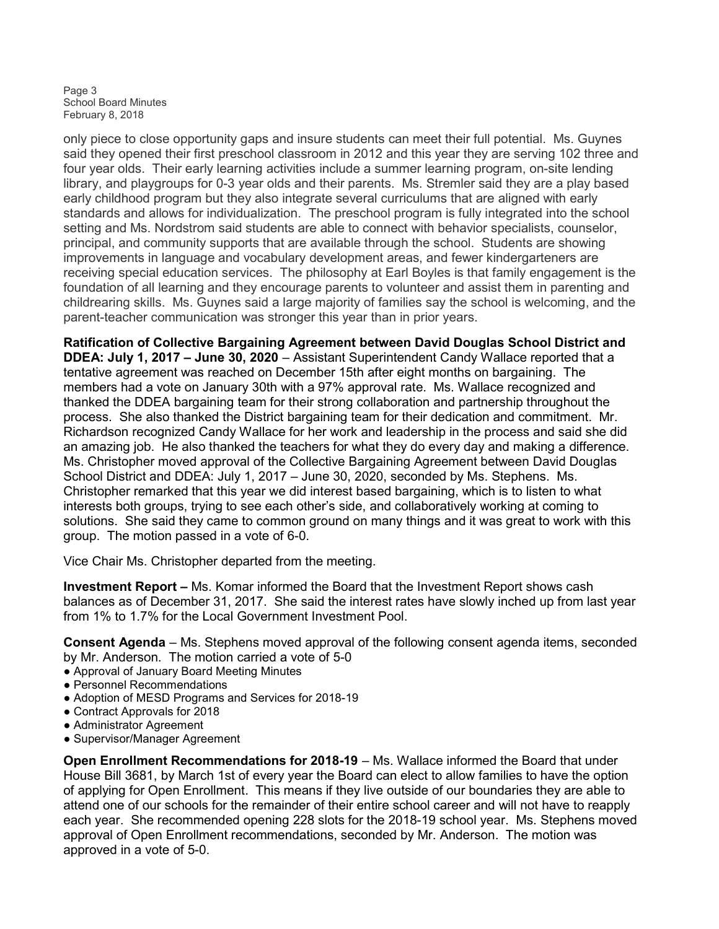Page 3 School Board Minutes February 8, 2018

only piece to close opportunity gaps and insure students can meet their full potential. Ms. Guynes said they opened their first preschool classroom in 2012 and this year they are serving 102 three and four year olds. Their early learning activities include a summer learning program, on-site lending library, and playgroups for 0-3 year olds and their parents. Ms. Stremler said they are a play based early childhood program but they also integrate several curriculums that are aligned with early standards and allows for individualization. The preschool program is fully integrated into the school setting and Ms. Nordstrom said students are able to connect with behavior specialists, counselor, principal, and community supports that are available through the school. Students are showing improvements in language and vocabulary development areas, and fewer kindergarteners are receiving special education services. The philosophy at Earl Boyles is that family engagement is the foundation of all learning and they encourage parents to volunteer and assist them in parenting and childrearing skills. Ms. Guynes said a large majority of families say the school is welcoming, and the parent-teacher communication was stronger this year than in prior years.

Ratification of Collective Bargaining Agreement between David Douglas School District and DDEA: July 1, 2017 – June 30, 2020 – Assistant Superintendent Candy Wallace reported that a tentative agreement was reached on December 15th after eight months on bargaining. The members had a vote on January 30th with a 97% approval rate. Ms. Wallace recognized and thanked the DDEA bargaining team for their strong collaboration and partnership throughout the process. She also thanked the District bargaining team for their dedication and commitment. Mr. Richardson recognized Candy Wallace for her work and leadership in the process and said she did an amazing job. He also thanked the teachers for what they do every day and making a difference. Ms. Christopher moved approval of the Collective Bargaining Agreement between David Douglas School District and DDEA: July 1, 2017 – June 30, 2020, seconded by Ms. Stephens. Ms. Christopher remarked that this year we did interest based bargaining, which is to listen to what interests both groups, trying to see each other's side, and collaboratively working at coming to solutions. She said they came to common ground on many things and it was great to work with this group. The motion passed in a vote of 6-0.

Vice Chair Ms. Christopher departed from the meeting.

Investment Report – Ms. Komar informed the Board that the Investment Report shows cash balances as of December 31, 2017. She said the interest rates have slowly inched up from last year from 1% to 1.7% for the Local Government Investment Pool.

Consent Agenda – Ms. Stephens moved approval of the following consent agenda items, seconded by Mr. Anderson. The motion carried a vote of 5-0

- Approval of January Board Meeting Minutes
- Personnel Recommendations
- Adoption of MESD Programs and Services for 2018-19
- Contract Approvals for 2018
- Administrator Agreement
- Supervisor/Manager Agreement

Open Enrollment Recommendations for 2018-19 – Ms. Wallace informed the Board that under House Bill 3681, by March 1st of every year the Board can elect to allow families to have the option of applying for Open Enrollment. This means if they live outside of our boundaries they are able to attend one of our schools for the remainder of their entire school career and will not have to reapply each year. She recommended opening 228 slots for the 2018-19 school year. Ms. Stephens moved approval of Open Enrollment recommendations, seconded by Mr. Anderson. The motion was approved in a vote of 5-0.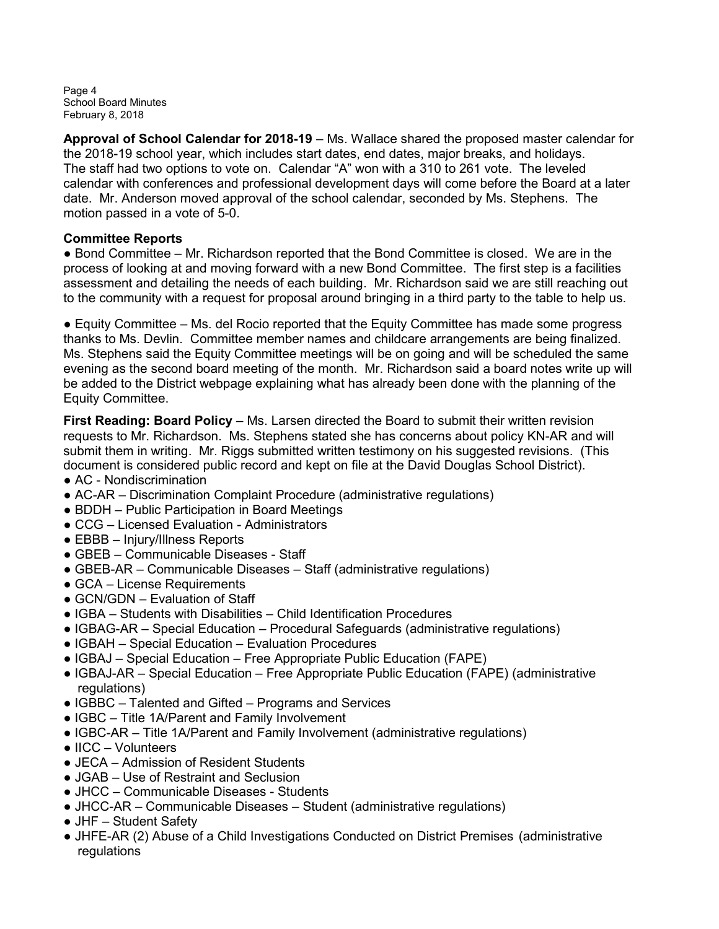Page 4 School Board Minutes February 8, 2018

Approval of School Calendar for 2018-19 – Ms. Wallace shared the proposed master calendar for the 2018-19 school year, which includes start dates, end dates, major breaks, and holidays. The staff had two options to vote on. Calendar "A" won with a 310 to 261 vote. The leveled calendar with conferences and professional development days will come before the Board at a later date. Mr. Anderson moved approval of the school calendar, seconded by Ms. Stephens. The motion passed in a vote of 5-0.

# Committee Reports

● Bond Committee – Mr. Richardson reported that the Bond Committee is closed. We are in the process of looking at and moving forward with a new Bond Committee. The first step is a facilities assessment and detailing the needs of each building. Mr. Richardson said we are still reaching out to the community with a request for proposal around bringing in a third party to the table to help us.

● Equity Committee – Ms. del Rocio reported that the Equity Committee has made some progress thanks to Ms. Devlin. Committee member names and childcare arrangements are being finalized. Ms. Stephens said the Equity Committee meetings will be on going and will be scheduled the same evening as the second board meeting of the month. Mr. Richardson said a board notes write up will be added to the District webpage explaining what has already been done with the planning of the Equity Committee.

First Reading: Board Policy – Ms. Larsen directed the Board to submit their written revision requests to Mr. Richardson. Ms. Stephens stated she has concerns about policy KN-AR and will submit them in writing. Mr. Riggs submitted written testimony on his suggested revisions. (This document is considered public record and kept on file at the David Douglas School District).

- AC Nondiscrimination
- AC-AR Discrimination Complaint Procedure (administrative regulations)
- BDDH Public Participation in Board Meetings
- CCG Licensed Evaluation Administrators
- EBBB Injury/Illness Reports
- GBEB Communicable Diseases Staff
- GBEB-AR Communicable Diseases Staff (administrative regulations)
- GCA License Requirements
- GCN/GDN Evaluation of Staff
- IGBA Students with Disabilities Child Identification Procedures
- IGBAG-AR Special Education Procedural Safeguards (administrative regulations)
- IGBAH Special Education Evaluation Procedures
- IGBAJ Special Education Free Appropriate Public Education (FAPE)
- IGBAJ-AR Special Education Free Appropriate Public Education (FAPE) (administrative regulations)
- IGBBC Talented and Gifted Programs and Services
- IGBC Title 1A/Parent and Family Involvement
- IGBC-AR Title 1A/Parent and Family Involvement (administrative regulations)
- IICC Volunteers
- JECA Admission of Resident Students
- JGAB Use of Restraint and Seclusion
- JHCC Communicable Diseases Students
- JHCC-AR Communicable Diseases Student (administrative regulations)
- JHF Student Safety
- JHFE-AR (2) Abuse of a Child Investigations Conducted on District Premises (administrative regulations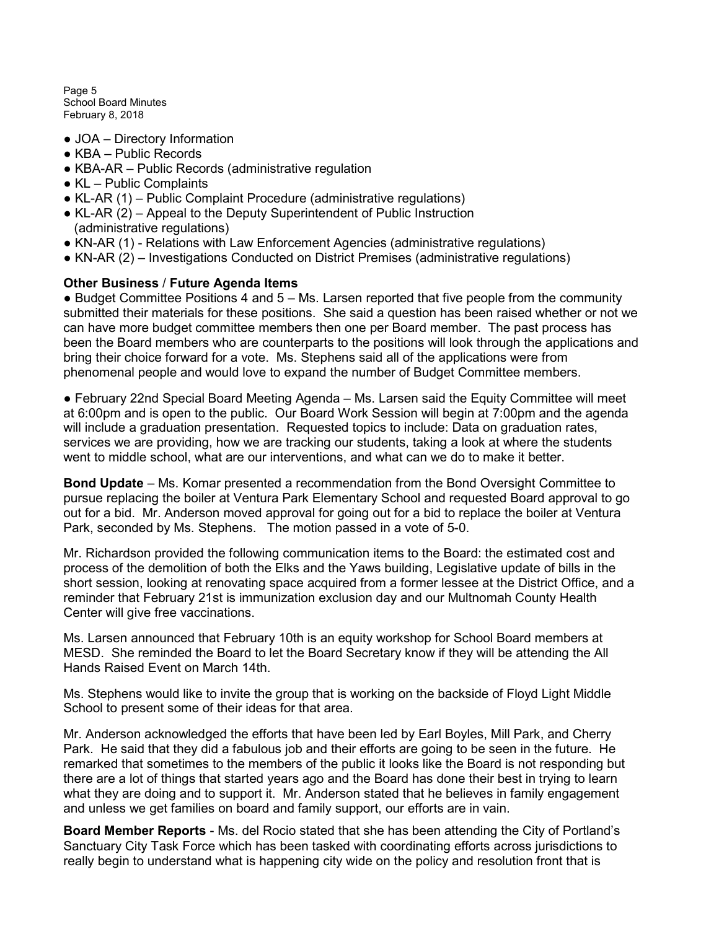Page 5 School Board Minutes February 8, 2018

- JOA Directory Information
- KBA Public Records
- KBA-AR Public Records (administrative regulation
- KL Public Complaints
- KL-AR (1) Public Complaint Procedure (administrative regulations)
- KL-AR (2) Appeal to the Deputy Superintendent of Public Instruction (administrative regulations)
- KN-AR (1) Relations with Law Enforcement Agencies (administrative regulations)
- KN-AR (2) Investigations Conducted on District Premises (administrative regulations)

## Other Business / Future Agenda Items

● Budget Committee Positions 4 and 5 – Ms. Larsen reported that five people from the community submitted their materials for these positions. She said a question has been raised whether or not we can have more budget committee members then one per Board member. The past process has been the Board members who are counterparts to the positions will look through the applications and bring their choice forward for a vote. Ms. Stephens said all of the applications were from phenomenal people and would love to expand the number of Budget Committee members.

● February 22nd Special Board Meeting Agenda – Ms. Larsen said the Equity Committee will meet at 6:00pm and is open to the public. Our Board Work Session will begin at 7:00pm and the agenda will include a graduation presentation. Requested topics to include: Data on graduation rates, services we are providing, how we are tracking our students, taking a look at where the students went to middle school, what are our interventions, and what can we do to make it better.

Bond Update – Ms. Komar presented a recommendation from the Bond Oversight Committee to pursue replacing the boiler at Ventura Park Elementary School and requested Board approval to go out for a bid. Mr. Anderson moved approval for going out for a bid to replace the boiler at Ventura Park, seconded by Ms. Stephens. The motion passed in a vote of 5-0.

Mr. Richardson provided the following communication items to the Board: the estimated cost and process of the demolition of both the Elks and the Yaws building, Legislative update of bills in the short session, looking at renovating space acquired from a former lessee at the District Office, and a reminder that February 21st is immunization exclusion day and our Multnomah County Health Center will give free vaccinations.

Ms. Larsen announced that February 10th is an equity workshop for School Board members at MESD. She reminded the Board to let the Board Secretary know if they will be attending the All Hands Raised Event on March 14th.

Ms. Stephens would like to invite the group that is working on the backside of Floyd Light Middle School to present some of their ideas for that area.

Mr. Anderson acknowledged the efforts that have been led by Earl Boyles, Mill Park, and Cherry Park. He said that they did a fabulous job and their efforts are going to be seen in the future. He remarked that sometimes to the members of the public it looks like the Board is not responding but there are a lot of things that started years ago and the Board has done their best in trying to learn what they are doing and to support it. Mr. Anderson stated that he believes in family engagement and unless we get families on board and family support, our efforts are in vain.

Board Member Reports - Ms. del Rocio stated that she has been attending the City of Portland's Sanctuary City Task Force which has been tasked with coordinating efforts across jurisdictions to really begin to understand what is happening city wide on the policy and resolution front that is